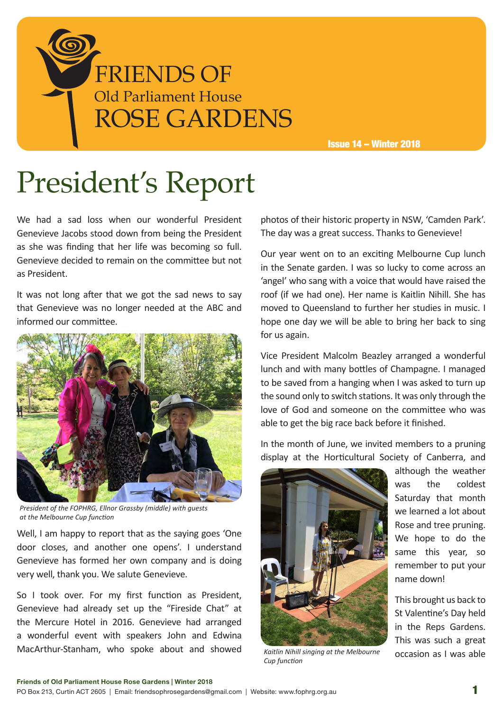

Issue 14 – Winter 2018

# President's Report

We had a sad loss when our wonderful President Genevieve Jacobs stood down from being the President as she was finding that her life was becoming so full. Genevieve decided to remain on the committee but not as President.

It was not long after that we got the sad news to say that Genevieve was no longer needed at the ABC and informed our committee.



*President of the FOPHRG, Ellnor Grassby (middle) with guests at the Melbourne Cup function*

Well, I am happy to report that as the saying goes 'One door closes, and another one opens'. I understand Genevieve has formed her own company and is doing very well, thank you. We salute Genevieve.

So I took over. For my first function as President, Genevieve had already set up the "Fireside Chat" at the Mercure Hotel in 2016. Genevieve had arranged a wonderful event with speakers John and Edwina MacArthur-Stanham, who spoke about and showed photos of their historic property in NSW, 'Camden Park'. The day was a great success. Thanks to Genevieve!

Our year went on to an exciting Melbourne Cup lunch in the Senate garden. I was so lucky to come across an 'angel' who sang with a voice that would have raised the roof (if we had one). Her name is Kaitlin Nihill. She has moved to Queensland to further her studies in music. I hope one day we will be able to bring her back to sing for us again.

Vice President Malcolm Beazley arranged a wonderful lunch and with many bottles of Champagne. I managed to be saved from a hanging when I was asked to turn up the sound only to switch stations. It was only through the love of God and someone on the committee who was able to get the big race back before it finished.

In the month of June, we invited members to a pruning display at the Horticultural Society of Canberra, and



*Kaitlin Nihill singing at the Melbourne Cup function*

although the weather was the coldest Saturday that month we learned a lot about Rose and tree pruning. We hope to do the same this year, so remember to put your name down!

This brought us back to St Valentine's Day held in the Reps Gardens. This was such a great occasion as I was able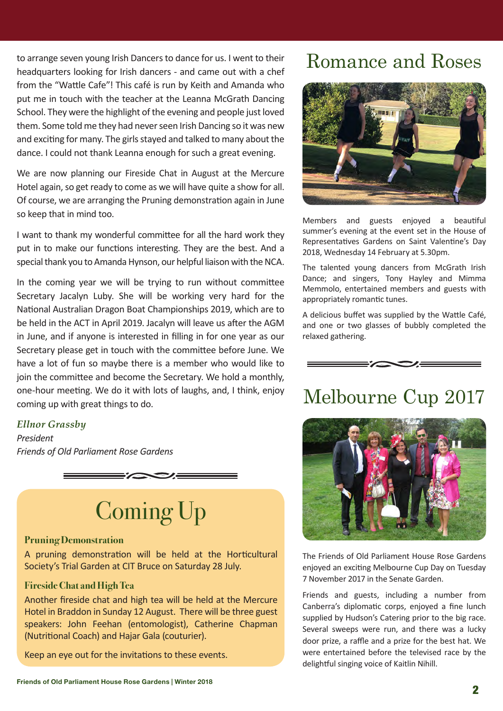to arrange seven young Irish Dancers to dance for us. I went to their headquarters looking for Irish dancers - and came out with a chef from the "Wattle Cafe"! This café is run by Keith and Amanda who put me in touch with the teacher at the Leanna McGrath Dancing School. They were the highlight of the evening and people just loved them. Some told me they had never seen Irish Dancing so it was new and exciting for many. The girls stayed and talked to many about the dance. I could not thank Leanna enough for such a great evening.

We are now planning our Fireside Chat in August at the Mercure Hotel again, so get ready to come as we will have quite a show for all. Of course, we are arranging the Pruning demonstration again in June so keep that in mind too.

I want to thank my wonderful committee for all the hard work they put in to make our functions interesting. They are the best. And a special thank you to Amanda Hynson, our helpful liaison with the NCA.

In the coming year we will be trying to run without committee Secretary Jacalyn Luby. She will be working very hard for the National Australian Dragon Boat Championships 2019, which are to be held in the ACT in April 2019. Jacalyn will leave us after the AGM in June, and if anyone is interested in filling in for one year as our Secretary please get in touch with the committee before June. We have a lot of fun so maybe there is a member who would like to join the committee and become the Secretary. We hold a monthly, one-hour meeting. We do it with lots of laughs, and, I think, enjoy coming up with great things to do.

### *Ellnor Grassby*

*President Friends of Old Parliament Rose Gardens*



# Coming Up

### **Pruning Demonstration**

A pruning demonstration will be held at the Horticultural Society's Trial Garden at CIT Bruce on Saturday 28 July.

### **Fireside Chat and High Tea**

Another fireside chat and high tea will be held at the Mercure Hotel in Braddon in Sunday 12 August. There will be three guest speakers: John Feehan (entomologist), Catherine Chapman (Nutritional Coach) and Hajar Gala (couturier).

Keep an eye out for the invitations to these events.

## Romance and Roses



Members and guests enjoyed a beautiful summer's evening at the event set in the House of Representatives Gardens on Saint Valentine's Day 2018, Wednesday 14 February at 5.30pm.

The talented young dancers from McGrath Irish Dance; and singers, Tony Hayley and Mimma Memmolo, entertained members and guests with appropriately romantic tunes.

A delicious buffet was supplied by the Wattle Café, and one or two glasses of bubbly completed the relaxed gathering.



## Melbourne Cup 2017



The Friends of Old Parliament House Rose Gardens enjoyed an exciting Melbourne Cup Day on Tuesday 7 November 2017 in the Senate Garden.

Friends and guests, including a number from Canberra's diplomatic corps, enjoyed a fine lunch supplied by Hudson's Catering prior to the big race. Several sweeps were run, and there was a lucky door prize, a raffle and a prize for the best hat. We were entertained before the televised race by the delightful singing voice of Kaitlin Nihill.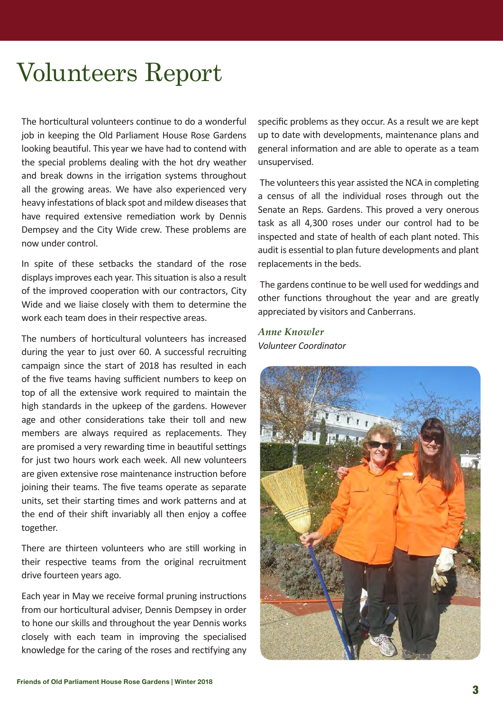## Volunteers Report

The horticultural volunteers continue to do a wonderful job in keeping the Old Parliament House Rose Gardens looking beautiful. This year we have had to contend with the special problems dealing with the hot dry weather and break downs in the irrigation systems throughout all the growing areas. We have also experienced very heavy infestations of black spot and mildew diseases that have required extensive remediation work by Dennis Dempsey and the City Wide crew. These problems are now under control.

In spite of these setbacks the standard of the rose displays improves each year. This situation is also a result of the improved cooperation with our contractors, City Wide and we liaise closely with them to determine the work each team does in their respective areas.

The numbers of horticultural volunteers has increased during the year to just over 60. A successful recruiting campaign since the start of 2018 has resulted in each of the five teams having sufficient numbers to keep on top of all the extensive work required to maintain the high standards in the upkeep of the gardens. However age and other considerations take their toll and new members are always required as replacements. They are promised a very rewarding time in beautiful settings for just two hours work each week. All new volunteers are given extensive rose maintenance instruction before joining their teams. The five teams operate as separate units, set their starting times and work patterns and at the end of their shift invariably all then enjoy a coffee together.

There are thirteen volunteers who are still working in their respective teams from the original recruitment drive fourteen years ago.

Each year in May we receive formal pruning instructions from our horticultural adviser, Dennis Dempsey in order to hone our skills and throughout the year Dennis works closely with each team in improving the specialised knowledge for the caring of the roses and rectifying any specific problems as they occur. As a result we are kept up to date with developments, maintenance plans and general information and are able to operate as a team unsupervised.

 The volunteers this year assisted the NCA in completing a census of all the individual roses through out the Senate an Reps. Gardens. This proved a very onerous task as all 4,300 roses under our control had to be inspected and state of health of each plant noted. This audit is essential to plan future developments and plant replacements in the beds.

 The gardens continue to be well used for weddings and other functions throughout the year and are greatly appreciated by visitors and Canberrans.

### *Anne Knowler Volunteer Coordinator*